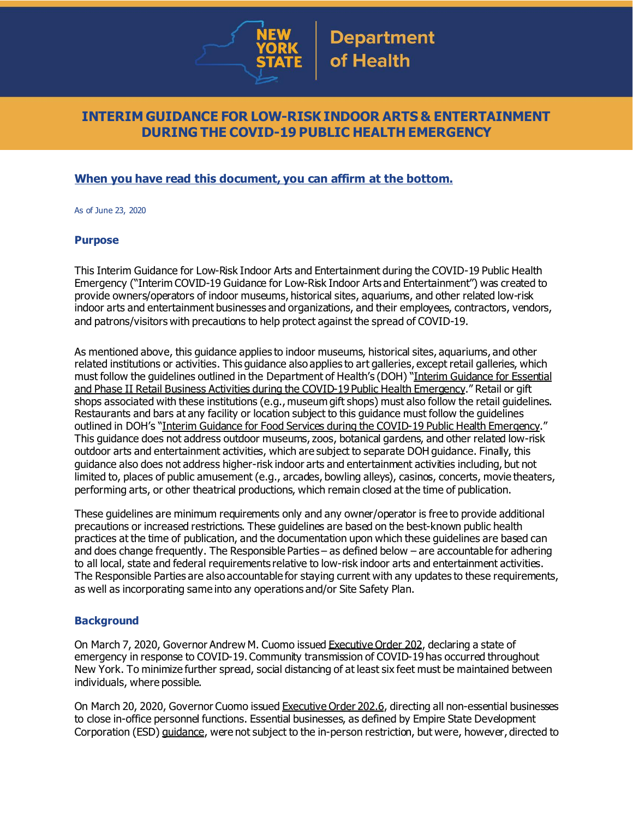

## **INTERIM GUIDANCE FOR LOW-RISK INDOOR ARTS & ENTERTAINMENT DURING THE COVID-19 PUBLIC HEALTH EMERGENCY**

## **When you have read this document, you can affirm at the bottom.**

As of June 23, 2020

#### **Purpose**

This Interim Guidance for Low-Risk Indoor Arts and Entertainment during the COVID-19 Public Health Emergency ("Interim COVID-19 Guidance for Low-Risk Indoor Arts and Entertainment") was created to provide owners/operators of indoor museums, historical sites, aquariums, and other related low-risk indoor arts and entertainment businesses and organizations, and their employees, contractors, vendors, and patrons/visitors with precautions to help protect against the spread of COVID-19.

As mentioned above, this guidance applies to indoor museums, historical sites, aquariums, and other related institutions or activities. This guidance also applies to art galleries, except retail galleries, which must follow the guidelines outlined in the Department of Health's (DOH) "Interim [Guidance](https://www.governor.ny.gov/sites/governor.ny.gov/files/atoms/files/RetailMasterGuidance.pdf) for Essential and Phase II Retail Business Activities during the COVID-19 Public Health [Emergency](https://www.governor.ny.gov/sites/governor.ny.gov/files/atoms/files/RetailMasterGuidance.pdf)." Retail or gift shops associated with these institutions (e.g., museum gift shops) must also follow the retail guidelines. Restaurants and bars at any facility or location subject to this guidance must follow the guidelines outlined in DOH's "Interim Guidance for Food Services during the COVID-19 Public Health [Emergency](https://www.governor.ny.gov/sites/governor.ny.gov/files/atoms/files/Indoor_and_Outdoor_Food_Services_Detailed_Guidelines.pdf)." This guidance does not address outdoor museums, zoos, botanical gardens, and other related low-risk outdoor arts and entertainment activities, which are subject to separate DOH guidance. Finally, this guidance also does not address higher-risk indoor arts and entertainment activities including, but not limited to, places of public amusement (e.g., arcades, bowling alleys), casinos, concerts, movie theaters, performing arts, or other theatrical productions, which remain closed at the time of publication.

These guidelines are minimum requirements only and any owner/operator is free to provide additional precautions or increased restrictions. These guidelines are based on the best-known public health practices at the time of publication, and the documentation upon which these guidelines are based can and does change frequently. The Responsible Parties – as defined below – are accountable for adhering to all local, state and federal requirements relative to low-risk indoor arts and entertainment activities. The Responsible Parties are also accountable for staying current with any updates to these requirements, as well as incorporating same into any operations and/or Site Safety Plan.

#### **Background**

On March 7, 2020, Governor Andrew M. Cuomo issued [Executive](https://www.governor.ny.gov/news/no-202-declaring-disaster-emergency-state-new-york) Order 202, declaring a state of emergency in response to COVID-19. Community transmission of COVID-19 has occurred throughout New York. To minimize further spread, social distancing of at least six feet must be maintained between individuals, where possible.

On March 20, 2020, Governor Cuomo issued [Executive](https://www.governor.ny.gov/news/no-2026-continuing-temporary-suspension-and-modification-laws-relating-disaster-emergency) Order 202.6, directing all non-essential businesses to close in-office personnel functions. Essential businesses, as defined by Empire State Development Corporation (ESD) [guidance](https://esd.ny.gov/guidance-executive-order-2026), were not subject to the in-person restriction, but were, however, directed to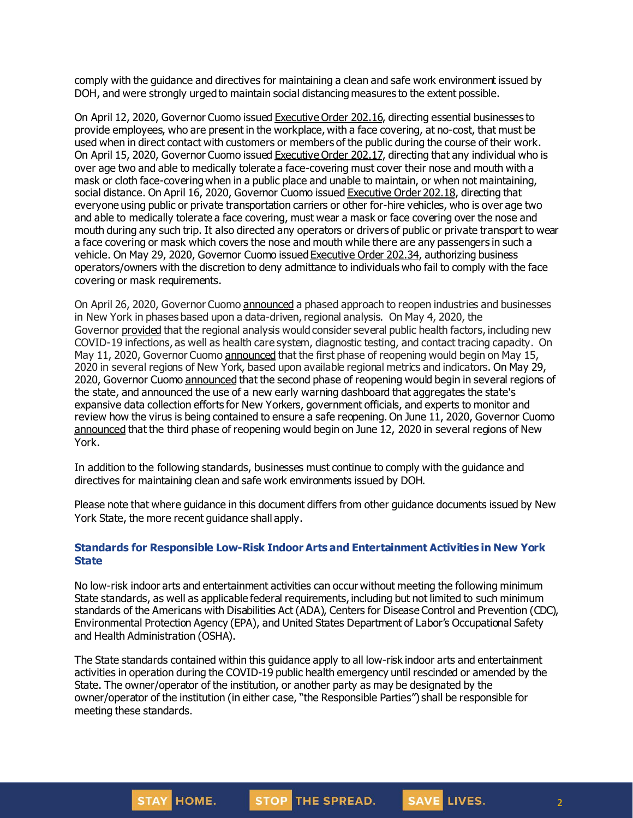comply with the guidance and directives for maintaining a clean and safe work environment issued by DOH, and were strongly urged to maintain social distancing measures to the extent possible.

On April 12, 2020, Governor Cuomo issued [Executive](https://www.governor.ny.gov/news/no-20216-continuing-temporary-suspension-and-modification-laws-relating-disaster-emergency) Order 202.16, directing essential businesses to provide employees, who are present in the workplace, with a face covering, at no-cost, that must be used when in direct contact with customers or members of the public during the course of their work. On April 15, 2020, Governor Cuomo issued [Executive](https://www.governor.ny.gov/news/no-20217-continuing-temporary-suspension-and-modification-laws-relating-disaster-emergency) Order 202.17, directing that any individual who is over age two and able to medically tolerate a face-covering must cover their nose and mouth with a mask or cloth face-coveringwhen in a public place and unable to maintain, or when not maintaining, social distance. On April 16, 2020, Governor Cuomo issued [Executive](https://www.governor.ny.gov/news/no-20218-continuing-temporary-suspension-and-modification-laws-relating-disaster-emergency) Order 202.18, directing that everyone using public or private transportation carriers or other for-hire vehicles, who is over age two and able to medically tolerate a face covering, must wear a mask or face covering over the nose and mouth during any such trip. It also directed any operators or drivers of public or private transport to wear a face covering or mask which covers the nose and mouth while there are any passengers in such a vehicle. On May 29, 2020, Governor Cuomo issued [Executive](https://www.governor.ny.gov/news/no-20234-continuing-temporary-suspension-and-modification-laws-relating-disaster-emergency) Order 202.34, authorizing business operators/owners with the discretion to deny admittance to individuals who fail to comply with the face covering or mask requirements.

On April 26, 2020, Governor Cuomo [announced](https://www.governor.ny.gov/news/amid-ongoing-covid-19-pandemic-governor-cuomo-outlines-phased-plan-re-open-new-york-starting) a phased approach to reopen industries and businesses in New York in phases based upon a data-driven, regional analysis. On May 4, 2020, the Governor [provided](https://www.governor.ny.gov/news/amid-ongoing-covid-19-pandemic-governor-cuomo-outlines-additional-guidelines-when-regions-can) that the regional analysis would consider several public health factors, including new COVID-19 infections, as well as health care system, diagnostic testing, and contact tracing capacity. On May 11, 2020, Governor Cuomo [announced](https://www.governor.ny.gov/news/amid-ongoing-covid-19-pandemic-governor-cuomo-announces-three-regions-new-york-state-ready) that the first phase of reopening would begin on May 15, 2020 in several regions of New York, based upon available regional metrics and indicators. On May 29, 2020, Governor Cuomo [announced](https://www.governor.ny.gov/news/governor-cuomo-announces-new-york-city-enter-phase-1-reopening-june-8-and-five-regions-enter) that the second phase of reopening would begin in several regions of the state, and announced the use of a new early warning dashboard that aggregates the state's expansive data collection efforts for New Yorkers, government officials, and experts to monitor and review how the virus is being contained to ensure a safe reopening. On June 11, 2020, Governor Cuomo [announced](https://www.governor.ny.gov/news/governor-cuomo-announces-five-regions-will-enter-phase-three-reopening-tomorrow) that the third phase of reopening would begin on June 12, 2020 in several regions of New York.

In addition to the following standards, businesses must continue to comply with the guidance and directives for maintaining clean and safe work environments issued by DOH.

Please note that where guidance in this document differs from other guidance documents issued by New York State, the more recent guidance shall apply.

#### **Standards for Responsible Low-Risk Indoor Arts and Entertainment Activities in New York State**

No low-risk indoor arts and entertainment activities can occur without meeting the following minimum State standards, as well as applicable federal requirements, including but not limited to such minimum standards of the Americans with Disabilities Act (ADA), Centers for Disease Control and Prevention (CDC), Environmental Protection Agency (EPA), and United States Department of Labor's Occupational Safety and Health Administration (OSHA).

The State standards contained within this guidance apply to all low-risk indoor arts and entertainment activities in operation during the COVID-19 public health emergency until rescinded or amended by the State. The owner/operator of the institution, or another party as may be designated by the owner/operator of the institution (in either case, "the Responsible Parties") shall be responsible for meeting these standards.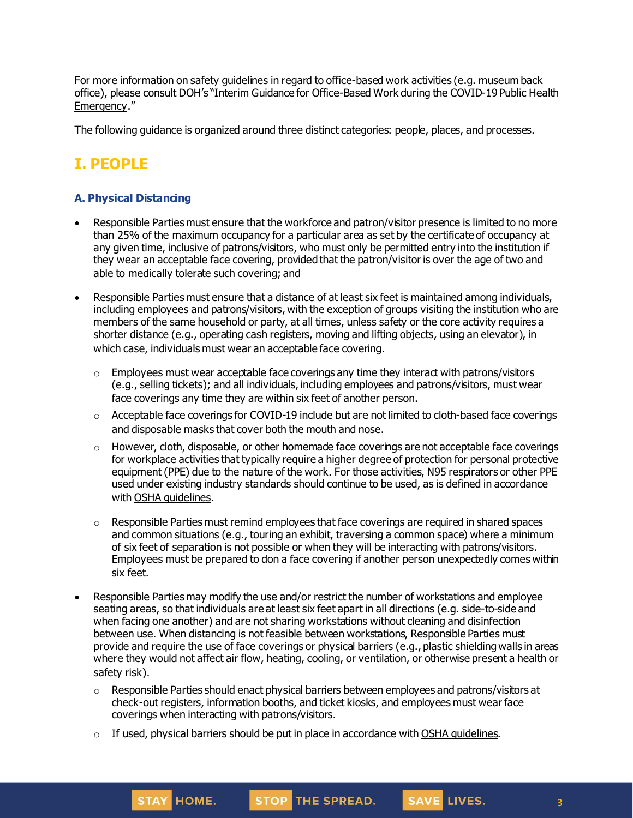For more information on safety guidelines in regard to office-based work activities (e.g. museum back office), please consult DOH's "Interim Guidance for [Office-Based](https://www.governor.ny.gov/sites/governor.ny.gov/files/atoms/files/offices-interim-guidance.pdf) Work during the COVID-19 Public Health [Emergency](https://www.governor.ny.gov/sites/governor.ny.gov/files/atoms/files/offices-interim-guidance.pdf)."

The following guidance is organized around three distinct categories: people, places, and processes.

# **I. PEOPLE**

## **A. Physical Distancing**

- Responsible Parties must ensure that the workforce and patron/visitor presence is limited to no more than 25% of the maximum occupancy for a particular area as set by the certificate of occupancy at any given time, inclusive of patrons/visitors, who must only be permitted entry into the institution if they wear an acceptable face covering, provided that the patron/visitor is over the age of two and able to medically tolerate such covering; and
- Responsible Parties must ensure that a distance of at least six feet is maintained among individuals, including employees and patrons/visitors, with the exception of groups visiting the institution who are members of the same household or party, at all times, unless safety or the core activity requires a shorter distance (e.g., operating cash registers, moving and lifting objects, using an elevator), in which case, individuals must wear an acceptable face covering.
	- $\circ$  Employees must wear acceptable face coverings any time they interact with patrons/visitors (e.g., selling tickets); and all individuals, including employees and patrons/visitors, must wear face coverings any time they are within six feet of another person.
	- $\circ$  Acceptable face coverings for COVID-19 include but are not limited to cloth-based face coverings and disposable masks that cover both the mouth and nose.
	- $\circ$  However, cloth, disposable, or other homemade face coverings are not acceptable face coverings for workplace activities that typically require a higher degree of protection for personal protective equipment (PPE) due to the nature of the work. For those activities, N95 respirators or other PPE used under existing industry standards should continue to be used, as is defined in accordance with OSHA quidelines.
	- o Responsible Parties must remind employees that face coverings are required in shared spaces and common situations (e.g., touring an exhibit, traversing a common space) where a minimum of six feet of separation is not possible or when they will be interacting with patrons/visitors. Employees must be prepared to don a face covering if another person unexpectedly comes within six feet.
- Responsible Parties may modify the use and/or restrict the number of workstations and employee seating areas, so that individuals are at least six feet apart in all directions (e.g. side-to-side and when facing one another) and are not sharing workstations without cleaning and disinfection between use. When distancing is not feasible between workstations, Responsible Parties must provide and require the use of face coverings or physical barriers (e.g., plastic shieldingwalls in areas where they would not affect air flow, heating, cooling, or ventilation, or otherwise present a health or safety risk).
	- $\circ$  Responsible Parties should enact physical barriers between employees and patrons/visitors at check-out registers, information booths, and ticket kiosks, and employees must wear face coverings when interacting with patrons/visitors.
	- $\circ$  If used, physical barriers should be put in place in accordance with OSHA [guidelines](https://www.osha.gov/Publications/OSHA3990.pdf).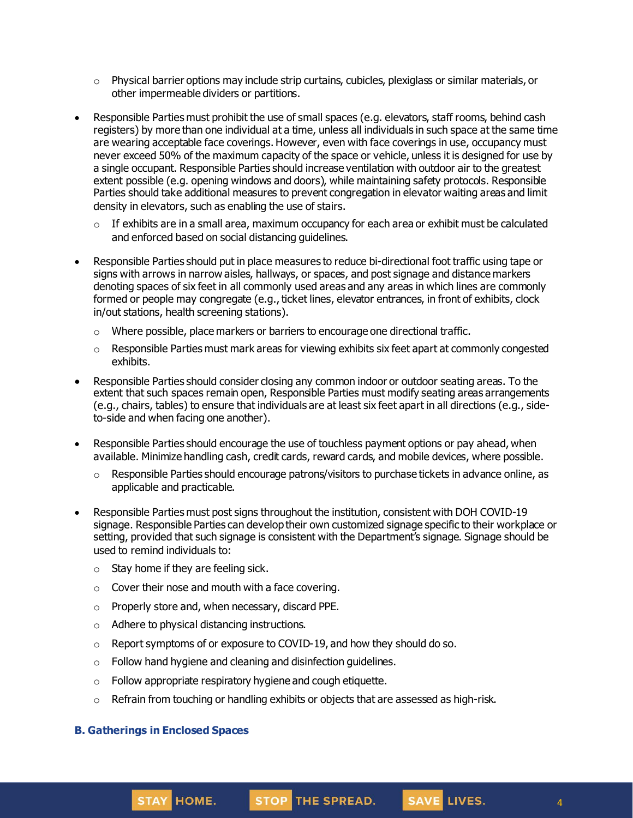- $\circ$  Physical barrier options may include strip curtains, cubicles, plexiglass or similar materials, or other impermeable dividers or partitions.
- Responsible Parties must prohibit the use of small spaces (e.g. elevators, staff rooms, behind cash registers) by more than one individual at a time, unless all individuals in such space at the same time are wearing acceptable face coverings. However, even with face coverings in use, occupancy must never exceed 50% of the maximum capacity of the space or vehicle, unless it is designed for use by a single occupant. Responsible Parties should increase ventilation with outdoor air to the greatest extent possible (e.g. opening windows and doors), while maintaining safety protocols. Responsible Parties should take additional measures to prevent congregation in elevator waiting areas and limit density in elevators, such as enabling the use of stairs.
	- $\circ$  If exhibits are in a small area, maximum occupancy for each area or exhibit must be calculated and enforced based on social distancing guidelines.
- Responsible Parties should put in place measures to reduce bi-directional foot traffic using tape or signs with arrows in narrow aisles, hallways, or spaces, and post signage and distance markers denoting spaces of six feet in all commonly used areas and any areas in which lines are commonly formed or people may congregate (e.g., ticket lines, elevator entrances, in front of exhibits, clock in/out stations, health screening stations).
	- o Where possible, place markers or barriers to encourage one directional traffic.
	- $\circ$  Responsible Parties must mark areas for viewing exhibits six feet apart at commonly congested exhibits.
- Responsible Parties should consider closing any common indoor or outdoor seating areas. To the extent that such spaces remain open, Responsible Parties must modify seating areas arrangements (e.g., chairs, tables) to ensure that individuals are at least six feet apart in all directions (e.g., sideto-side and when facing one another).
- Responsible Parties should encourage the use of touchless payment options or pay ahead, when available. Minimize handling cash, credit cards, reward cards, and mobile devices, where possible.
	- $\circ$  Responsible Parties should encourage patrons/visitors to purchase tickets in advance online, as applicable and practicable.
- Responsible Parties must post signs throughout the institution, consistent with DOH COVID-19 signage. Responsible Parties can develop their own customized signage specific to their workplace or setting, provided that such signage is consistent with the Department's signage. Signage should be used to remind individuals to:
	- $\circ$  Stay home if they are feeling sick.
	- $\circ$  Cover their nose and mouth with a face covering.
	- o Properly store and, when necessary, discard PPE.
	- o Adhere to physical distancing instructions.
	- $\circ$  Report symptoms of or exposure to COVID-19, and how they should do so.
	- o Follow hand hygiene and cleaning and disinfection guidelines.
	- o Follow appropriate respiratory hygiene and cough etiquette.
	- $\circ$  Refrain from touching or handling exhibits or objects that are assessed as high-risk.

#### **B. Gatherings in Enclosed Spaces**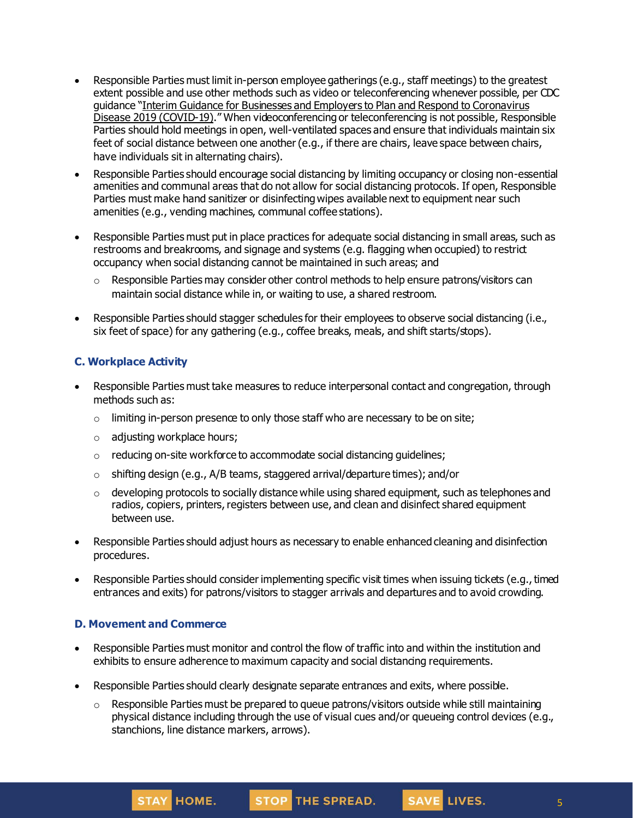- Responsible Parties must limit in-person employee gatherings (e.g., staff meetings) to the greatest extent possible and use other methods such as video or teleconferencing whenever possible, per CDC guidance "Interim Guidance for Businesses and Employers to Plan and Respond to [Coronavirus](https://www.cdc.gov/coronavirus/2019-ncov/community/guidance-business-response.html) Disease 2019 [\(COVID-19\)](https://www.cdc.gov/coronavirus/2019-ncov/community/guidance-business-response.html)." When videoconferencing or teleconferencing is not possible, Responsible Parties should hold meetings in open, well-ventilated spaces and ensure that individuals maintain six feet of social distance between one another (e.g., if there are chairs, leave space between chairs, have individuals sit in alternating chairs).
- Responsible Parties should encourage social distancing by limiting occupancy or closing non-essential amenities and communal areas that do not allow for social distancing protocols. If open, Responsible Parties must make hand sanitizer or disinfecting wipes available next to equipment near such amenities (e.g., vending machines, communal coffee stations).
- Responsible Parties must put in place practices for adequate social distancing in small areas, such as restrooms and breakrooms, and signage and systems (e.g. flagging when occupied) to restrict occupancy when social distanging cannot be maintained in such areas; and
	- $\circ$  Responsible Parties may consider other control methods to help ensure patrons/visitors can maintain social distance while in, or waiting to use, a shared restroom.
- Responsible Parties should stagger schedules for their employees to observe social distancing (i.e., six feet of space) for any gathering (e.g., coffee breaks, meals, and shift starts/stops).

## **C. Workplace Activity**

- Responsible Parties must take measures to reduce interpersonal contact and congregation, through methods such as:
	- $\circ$  limiting in-person presence to only those staff who are necessary to be on site;
	- o adjusting workplace hours;
	- o reducing on-site workforce to accommodate social distancing guidelines;
	- $\circ$  shifting design (e.g., A/B teams, staggered arrival/departure times); and/or
	- $\circ$  developing protocols to socially distance while using shared equipment, such as telephones and radios, copiers, printers, registers between use, and clean and disinfect shared equipment between use.
- Responsible Parties should adjust hours as necessary to enable enhanced cleaning and disinfection procedures.
- Responsible Parties should consider implementing specific visit times when issuing tickets (e.g., timed entrances and exits) for patrons/visitors to stagger arrivals and departures and to avoid crowding.

## **D. Movement and Commerce**

- Responsible Parties must monitor and control the flow of traffic into and within the institution and exhibits to ensure adherence to maximum capacity and social distancing requirements.
- Responsible Parties should clearly designate separate entrances and exits, where possible.
	- o Responsible Parties must be prepared to queue patrons/visitors outside while still maintaining physical distance including through the use of visual cues and/or queueing control devices (e.g., stanchions, line distance markers, arrows).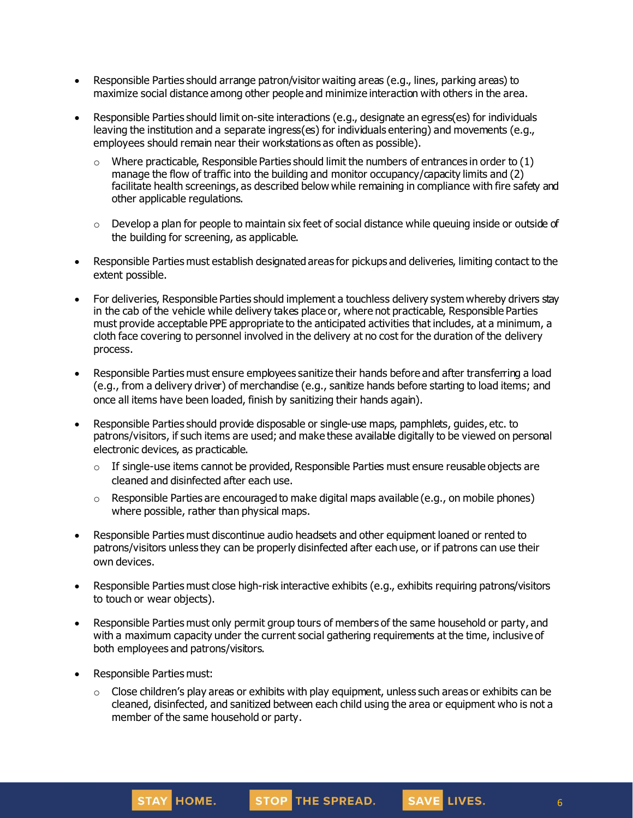- Responsible Parties should arrange patron/visitor waiting areas (e.g., lines, parking areas) to maximize social distance among other people and minimize interaction with others in the area.
- Responsible Parties should limit on-site interactions (e.g., designate an egress(es) for individuals leaving the institution and a separate ingress(es) for individuals entering) and movements (e.g., employees should remain near their workstations as often as possible).
	- $\circ$  Where practicable, Responsible Parties should limit the numbers of entrances in order to (1) manage the flow of traffic into the building and monitor occupancy/capacity limits and (2) facilitate health screenings, as described below while remaining in compliance with fire safety and other applicable regulations.
	- $\circ$  Develop a plan for people to maintain six feet of social distance while queuing inside or outside of the building for screening, as applicable.
- Responsible Parties must establish designated areas for pickups and deliveries, limiting contact to the extent possible.
- For deliveries, Responsible Parties should implement a touchless delivery system whereby drivers stay in the cab of the vehicle while delivery takes place or, where not practicable, Responsible Parties must provide acceptable PPE appropriate to the anticipated activities that includes, at a minimum, a cloth face covering to personnel involved in the delivery at no cost for the duration of the delivery process.
- Responsible Parties must ensure employees sanitize their hands before and after transferring a load (e.g., from a delivery driver) of merchandise (e.g., sanitize hands before starting to load items; and once all items have been loaded, finish by sanitizing their hands again).
- Responsible Parties should provide disposable or single-use maps, pamphlets, guides, etc. to patrons/visitors, if such items are used; and make these available digitally to be viewed on personal electronic devices, as practicable.
	- $\circ$  If single-use items cannot be provided, Responsible Parties must ensure reusable objects are cleaned and disinfected after each use.
	- $\circ$  Responsible Parties are encouraged to make digital maps available (e.g., on mobile phones) where possible, rather than physical maps.
- Responsible Parties must discontinue audio headsets and other equipment loaned or rented to patrons/visitors unless they can be properly disinfected after each use, or if patrons can use their own devices.
- Responsible Parties must close high-risk interactive exhibits (e.g., exhibits requiring patrons/visitors to touch or wear objects).
- Responsible Parties must only permit group tours of members of the same household or party, and with a maximum capacity under the current social gathering requirements at the time, inclusive of both employees and patrons/visitors.
- Responsible Parties must:
	- $\circ$  Close children's play areas or exhibits with play equipment, unless such areas or exhibits can be cleaned, disinfected, and sanitized between each child using the area or equipment who is not a member of the same household or party.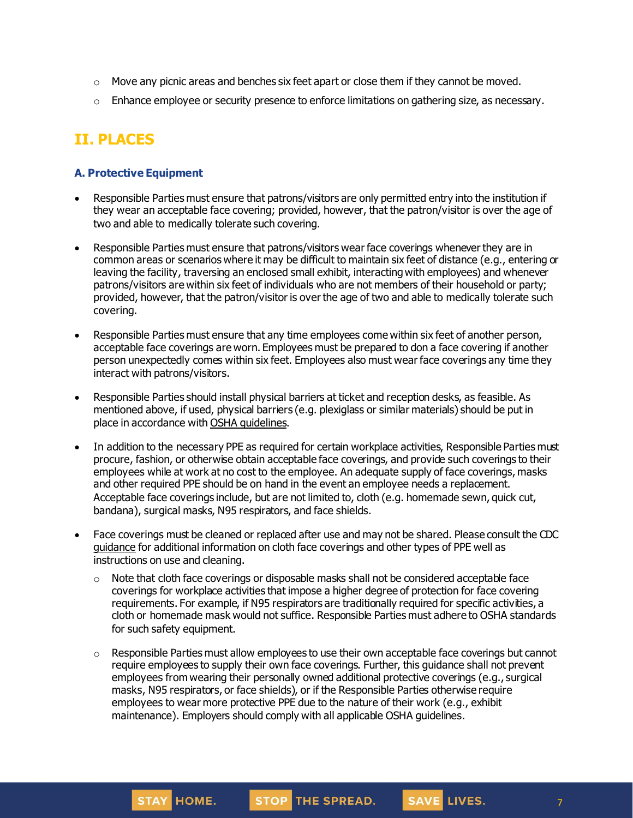- $\circ$  Move any picnic areas and benches six feet apart or close them if they cannot be moved.
- $\circ$  Enhance employee or security presence to enforce limitations on gathering size, as necessary.

# **II. PLACES**

#### **A. Protective Equipment**

- Responsible Parties must ensure that patrons/visitors are only permitted entry into the institution if they wear an acceptable face covering; provided, however, that the patron/visitor is over the age of two and able to medically tolerate such covering.
- Responsible Parties must ensure that patrons/visitors wear face coverings whenever they are in common areas or scenarios where it may be difficult to maintain six feet of distance (e.g., entering or leaving the facility, traversing an enclosed small exhibit, interactingwith employees) and whenever patrons/visitors are within six feet of individuals who are not members of their household or party; provided, however, that the patron/visitor is over the age of two and able to medically tolerate such covering.
- Responsible Parties must ensure that any time employees come within six feet of another person, acceptable face coverings are worn. Employees must be prepared to don a face covering if another person unexpectedly comes within six feet. Employees also must wear face coverings any time they interact with patrons/visitors.
- Responsible Parties should install physical barriers at ticket and reception desks, as feasible. As mentioned above, if used, physical barriers (e.g. plexiglass or similar materials) should be put in place in accordance with OSHA [guidelines](https://www.osha.gov/Publications/OSHA3990.pdf).
- In addition to the necessary PPE as required for certain workplace activities, Responsible Parties must procure, fashion, or otherwise obtain acceptable face coverings, and provide such coverings to their employees while at work at no cost to the employee. An adequate supply of face coverings, masks and other required PPE should be on hand in the event an employee needs a replacement. Acceptable face coverings include, but are not limited to, cloth (e.g. homemade sewn, quick cut, bandana), surgical masks, N95 respirators, and face shields.
- Face coverings must be cleaned or replaced after use and may not be shared. Please consult the CDC [guidance](https://www.cdc.gov/coronavirus/2019-ncov/community/guidance-business-response.html) for additional information on cloth face coverings and other types of PPE well as instructions on use and cleaning.
	- $\circ$  Note that cloth face coverings or disposable masks shall not be considered acceptable face coverings for workplace activities that impose a higher degree of protection for face covering requirements. For example, if N95 respirators are traditionally required for specific activities, a cloth or homemade mask would not suffice. Responsible Parties must adhere to OSHA standards for such safety equipment.
	- $\circ$  Responsible Parties must allow employees to use their own acceptable face coverings but cannot require employees to supply their own face coverings. Further, this guidance shall not prevent employees from wearing their personally owned additional protective coverings (e.g., surgical masks, N95 respirators, or face shields), or if the Responsible Parties otherwise require employees to wear more protective PPE due to the nature of their work (e.g., exhibit maintenance). Employers should comply with all applicable OSHA guidelines.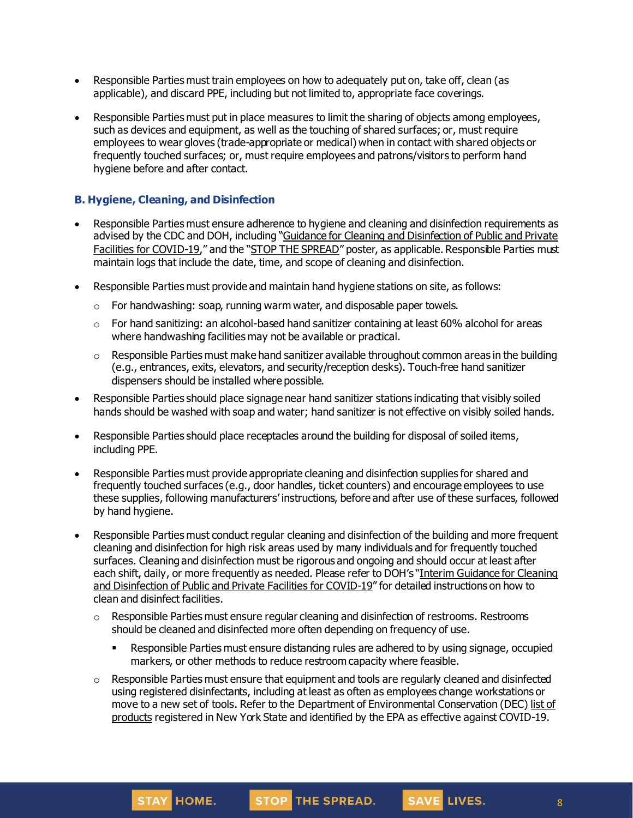- Responsible Parties must train employees on how to adequately put on, take off, clean (as applicable), and discard PPE, including but not limited to, appropriate face coverings.
- Responsible Parties must put in place measures to limit the sharing of objects among employees, such as devices and equipment, as well as the touching of shared surfaces; or, must require employees to wear gloves (trade-appropriate or medical) when in contact with shared objects or frequently touched surfaces; or, must require employees and patrons/visitors to perform hand hygiene before and after contact.

## **B. Hygiene, Cleaning, and Disinfection**

- Responsible Parties must ensure adherence to hygiene and cleaning and disinfection requirements as advised by the CDC and DOH, including "Guidance for Cleaning and [Disinfection](https://coronavirus.health.ny.gov/system/files/documents/2020/03/cleaning_guidance_general_building.pdf) of Public and Private Facilities for [COVID-19](https://coronavirus.health.ny.gov/system/files/documents/2020/03/cleaning_guidance_general_building.pdf)," and the "STOP THE [SPREAD](https://coronavirus.health.ny.gov/system/files/documents/2020/04/13067_coronavirus_protectyourself_poster_042020.pdf)" poster, as applicable. Responsible Parties must maintain logs that include the date, time, and scope of cleaning and disinfection.
- Responsible Parties must provide and maintain hand hygiene stations on site, as follows:
	- $\circ$  For handwashing: soap, running warm water, and disposable paper towels.
	- $\circ$  For hand sanitizing: an alcohol-based hand sanitizer containing at least 60% alcohol for areas where handwashing facilities may not be available or practical.
	- $\circ$  Responsible Parties must make hand sanitizer available throughout common areas in the building (e.g., entrances, exits, elevators, and security/reception desks). Touch-free hand sanitizer dispensers should be installed where possible.
- Responsible Parties should place signage near hand sanitizer stations indicating that visibly soiled hands should be washed with soap and water; hand sanitizer is not effective on visibly soiled hands.
- Responsible Parties should place receptacles around the building for disposal of soiled items, including PPE.
- Responsible Parties must provide appropriate cleaning and disinfection supplies for shared and frequently touched surfaces (e.g., door handles, ticket counters) and encourage employees to use these supplies, following manufacturers' instructions, before and after use of these surfaces, followed by hand hygiene.
- Responsible Parties must conduct regular cleaning and disinfection of the building and more frequent cleaning and disinfection for high risk areas used by many individuals and for frequently touched surfaces. Cleaning and disinfection must be rigorous and ongoing and should occur at least after each shift, daily, or more frequently as needed. Please refer to DOH's "Interim [Guidance](https://coronavirus.health.ny.gov/system/files/documents/2020/03/cleaning_guidance_general_building.pdf) for Cleaning and [Disinfection](https://coronavirus.health.ny.gov/system/files/documents/2020/03/cleaning_guidance_general_building.pdf) of Public and Private Facilities for COVID-19" for detailed instructions on how to clean and disinfect facilities.
	- $\circ$  Responsible Parties must ensure regular cleaning and disinfection of restrooms. Restrooms should be cleaned and disinfected more often depending on frequency of use.
		- Responsible Parties must ensure distancing rules are adhered to by using signage, occupied markers, or other methods to reduce restroom capacity where feasible.
	- $\circ$  Responsible Parties must ensure that equipment and tools are regularly cleaned and disinfected using registered disinfectants, including at least as often as employees change workstations or move to a new set of tools. Refer to the Department of Environmental Conservation (DEC) [list](http://www.dec.ny.gov/docs/materials_minerals_pdf/covid19.pdf) of [products](http://www.dec.ny.gov/docs/materials_minerals_pdf/covid19.pdf) registered in New York State and identified by the EPA as effective against COVID-19.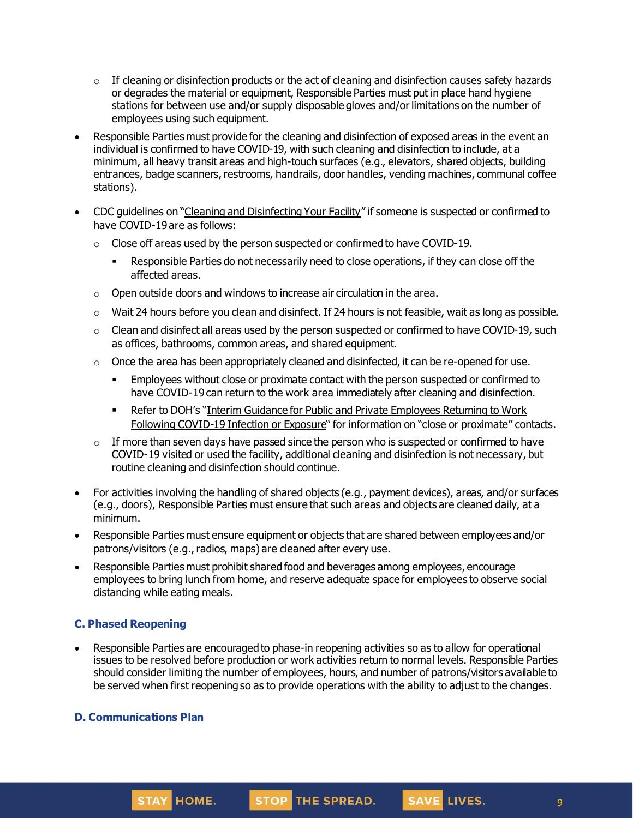- $\circ$  If cleaning or disinfection products or the act of cleaning and disinfection causes safety hazards or degrades the material or equipment, Responsible Parties must put in place hand hygiene stations for between use and/or supply disposable gloves and/or limitations on the number of employees using such equipment.
- Responsible Parties must provide for the cleaning and disinfection of exposed areas in the event an individual is confirmed to have COVID-19, with such cleaning and disinfection to include, at a minimum, all heavy transit areas and high-touch surfaces (e.g., elevators, shared objects, building entrances, badge scanners, restrooms, handrails, door handles, vending machines, communal coffee stations).
- CDC guidelines on "Cleaning and [Disinfecting](https://www.cdc.gov/coronavirus/2019-ncov/community/disinfecting-building-facility.html) Your Facility" if someone is suspected or confirmed to have COVID-19 are as follows:
	- $\circ$  Close off areas used by the person suspected or confirmed to have COVID-19.
		- **EXECT** Responsible Parties do not necessarily need to close operations, if they can close off the affected areas.
	- $\circ$  Open outside doors and windows to increase air circulation in the area.
	- $\circ$  Wait 24 hours before you clean and disinfect. If 24 hours is not feasible, wait as long as possible.
	- $\circ$  Clean and disinfect all areas used by the person suspected or confirmed to have COVID-19, such as offices, bathrooms, common areas, and shared equipment.
	- $\circ$  Once the area has been appropriately cleaned and disinfected, it can be re-opened for use.
		- **Employees without close or proximate contact with the person suspected or confirmed to** have COVID-19 can return to the work area immediately after cleaning and disinfection.
		- Refer to DOH's "Interim Guidance for Public and Private [Employees](https://coronavirus.health.ny.gov/system/files/documents/2020/06/doh_covid19_publicprivateemployeereturntowork_053120.pdf) Returning to Work Following [COVID-19](https://coronavirus.health.ny.gov/system/files/documents/2020/06/doh_covid19_publicprivateemployeereturntowork_053120.pdf) Infection or Exposure" for information on "close or proximate" contacts.
	- $\circ$  If more than seven days have passed since the person who is suspected or confirmed to have COVID-19 visited or used the facility, additional cleaning and disinfection is not necessary, but routine cleaning and disinfection should continue.
- For activities involving the handling of shared objects (e.g., payment devices), areas, and/or surfaces (e.g., doors), Responsible Parties must ensure that such areas and objects are cleaned daily, at a minimum.
- Responsible Parties must ensure equipment or objects that are shared between employees and/or patrons/visitors (e.g., radios, maps) are cleaned after every use.
- Responsible Parties must prohibit shared food and beverages among employees, encourage employees to bring lunch from home, and reserve adequate space for employees to observe social distancing while eating meals.

## **C. Phased Reopening**

• Responsible Parties are encouraged to phase-in reopening activities so as to allow for operational issues to be resolved before production or work activities return to normal levels. Responsible Parties should consider limiting the number of employees, hours, and number of patrons/visitors available to be served when first reopening so as to provide operations with the ability to adjust to the changes.

#### **D. Communications Plan**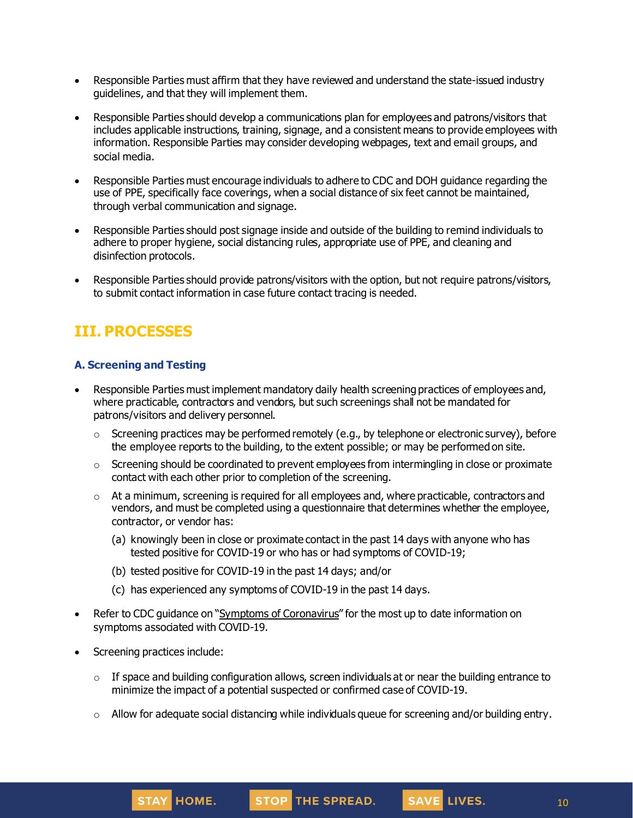- Responsible Parties must affirm that they have reviewed and understand the state-issued industry guidelines, and that they will implement them.
- Responsible Parties should develop a communications plan for employees and patrons/visitors that includes applicable instructions, training, signage, and a consistent means to provide employees with information. Responsible Parties may consider developing webpages, text and email groups, and social media.
- Responsible Parties must encourage individuals to adhere to CDC and DOH guidance regarding the use of PPE, specifically face coverings, when a social distance of six feet cannot be maintained, through verbal communication and signage.
- Responsible Parties should post signage inside and outside of the building to remind individuals to adhere to proper hygiene, social distancing rules, appropriate use of PPE, and cleaning and disinfection protocols.
- Responsible Parties should provide patrons/visitors with the option, but not require patrons/visitors, to submit contact information in case future contact tracing is needed.

# **III. PROCESSES**

## **A. Screening and Testing**

- Responsible Parties must implement mandatory daily health screening practices of employees and, where practicable, contractors and vendors, but such screenings shall not be mandated for patrons/visitors and delivery personnel.
	- $\circ$  Screening practices may be performed remotely (e.g., by telephone or electronic survey), before the employee reports to the building, to the extent possible; or may be performed on site.
	- $\circ$  Screening should be coordinated to prevent employees from intermingling in close or proximate contact with each other prior to completion of the screening.
	- $\circ$  At a minimum, screening is required for all employees and, where practicable, contractors and vendors, and must be completed using a questionnaire that determines whether the employee, contractor, or vendor has:
		- (a) knowingly been in close or proximate contact in the past 14 days with anyone who has tested positive for COVID-19 or who has or had symptoms of COVID-19;
		- (b) tested positive for COVID-19 in the past 14 days; and/or
		- (c) has experienced any symptoms of COVID-19 in the past 14 days.
- Refer to CDC guidance on "Symptoms of [Coronavirus](https://www.cdc.gov/coronavirus/2019-ncov/symptoms-testing/symptoms.html)" for the most up to date information on symptoms associated with COVID-19.
- Screening practices include:
	- $\circ$  If space and building configuration allows, screen individuals at or near the building entrance to minimize the impact of a potential suspected or confirmed case of COVID-19.
	- $\circ$  Allow for adequate social distancing while individuals queue for screening and/or building entry.

SAVE LIVES.

10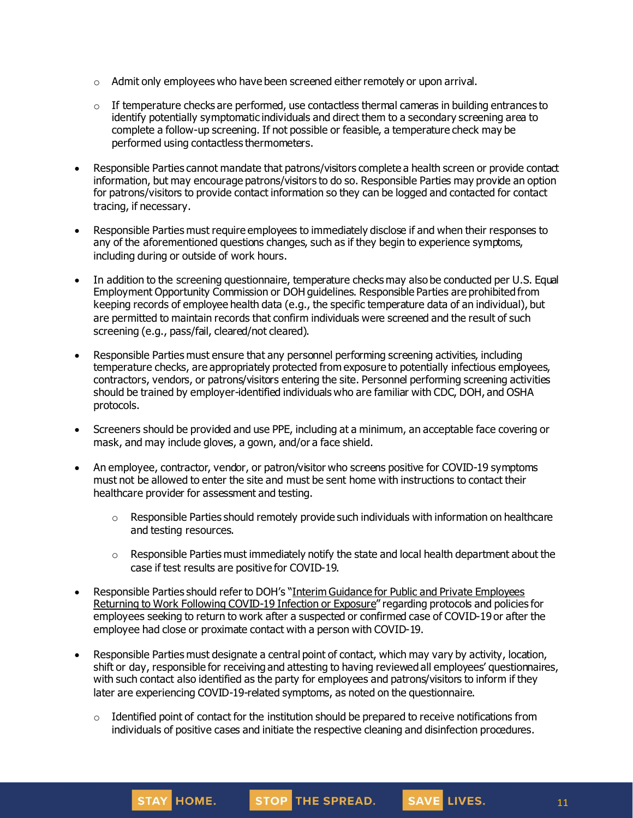- $\circ$  Admit only employees who have been screened either remotely or upon arrival.
- $\circ$  If temperature checks are performed, use contactless thermal cameras in building entrances to identify potentially symptomatic individuals and direct them to a secondary screening area to complete a follow-up screening. If not possible or feasible, a temperature check may be performed using contactless thermometers.
- Responsible Parties cannot mandate that patrons/visitors complete a health screen or provide contact information, but may encourage patrons/visitors to do so. Responsible Parties may provide an option for patrons/visitors to provide contact information so they can be logged and contacted for contact tracing, if necessary.
- Responsible Parties must require employees to immediately disclose if and when their responses to any of the aforementioned questions changes, such as if they begin to experience symptoms, including during or outside of work hours.
- In addition to the screening questionnaire, temperature checks may also be conducted per U.S. Equal Employment Opportunity Commission or DOH guidelines. Responsible Parties are prohibited from keeping records of employee health data (e.g., the specific temperature data of an individual), but are permitted to maintain records that confirm individuals were screened and the result of such screening (e.g., pass/fail, cleared/not cleared).
- Responsible Parties must ensure that any personnel performing screening activities, including temperature checks, are appropriately protected from exposure to potentially infectious employees, contractors, vendors, or patrons/visitors entering the site. Personnel performing screening activities should be trained by employer-identified individuals who are familiar with CDC, DOH, and OSHA protocols.
- Screeners should be provided and use PPE, including at a minimum, an acceptable face covering or mask, and may include gloves, a gown, and/or a face shield.
- An employee, contractor, vendor, or patron/visitor who screens positive for COVID-19 symptoms must not be allowed to enter the site and must be sent home with instructions to contact their healthcare provider for assessment and testing.
	- $\circ$  Responsible Parties should remotely provide such individuals with information on healthcare and testing resources.
	- $\circ$  Responsible Parties must immediately notify the state and local health department about the case if test results are positive for COVID-19.
- Responsible Parties should refer to DOH's "Interim Guidance for Public and Private [Employees](https://coronavirus.health.ny.gov/system/files/documents/2020/06/doh_covid19_publicprivateemployeereturntowork_053120.pdf) Returning to Work Following [COVID-19](https://coronavirus.health.ny.gov/system/files/documents/2020/06/doh_covid19_publicprivateemployeereturntowork_053120.pdf) Infection or Exposure" regarding protocols and policies for employees seeking to return to work after a suspected or confirmed case of COVID-19 or after the employee had close or proximate contact with a person with COVID-19.
- Responsible Parties must designate a central point of contact, which may vary by activity, location, shift or day, responsible for receiving and attesting to having reviewed all employees' questionnaires, with such contact also identified as the party for employees and patrons/visitors to inform if they later are experiencing COVID-19-related symptoms, as noted on the questionnaire.
	- $\circ$  Identified point of contact for the institution should be prepared to receive notifications from individuals of positive cases and initiate the respective cleaning and disinfection procedures.

STOP THE SPREAD.

STAY HOME.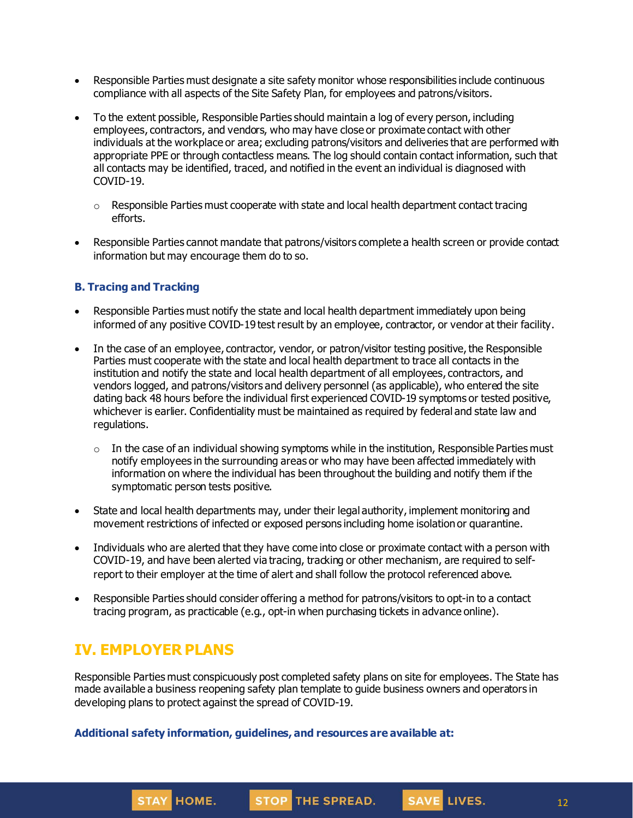- Responsible Parties must designate a site safety monitor whose responsibilities include continuous compliance with all aspects of the Site Safety Plan, for employees and patrons/visitors.
- To the extent possible, Responsible Parties should maintain a log of every person, including employees, contractors, and vendors, who may have close or proximate contact with other individuals at the workplace or area; excluding patrons/visitors and deliveries that are performed with appropriate PPE or through contactless means. The log should contain contact information, such that all contacts may be identified, traced, and notified in the event an individual is diagnosed with COVID-19.
	- $\circ$  Responsible Parties must cooperate with state and local health department contact tracing efforts.
- Responsible Parties cannot mandate that patrons/visitors complete a health screen or provide contact information but may encourage them do to so.

## **B. Tracing and Tracking**

- Responsible Parties must notify the state and local health department immediately upon being informed of any positive COVID-19 test result by an employee, contractor, or vendor at their facility.
- In the case of an employee, contractor, vendor, or patron/visitor testing positive, the Responsible Parties must cooperate with the state and local health department to trace all contacts in the institution and notify the state and local health department of all employees, contractors, and vendors logged, and patrons/visitors and delivery personnel (as applicable), who entered the site dating back 48 hours before the individual first experienced COVID-19 symptoms or tested positive, whichever is earlier. Confidentiality must be maintained as required by federal and state law and regulations.
	- $\circ$  In the case of an individual showing symptoms while in the institution, Responsible Parties must notify employees in the surrounding areas or who may have been affected immediately with information on where the individual has been throughout the building and notify them if the symptomatic person tests positive.
- State and local health departments may, under their legal authority, implement monitoring and movement restrictions of infected or exposed persons including home isolationor quarantine.
- Individuals who are alerted that they have come into close or proximate contact with a person with COVID-19, and have been alerted via tracing, tracking or other mechanism, are required to selfreport to their employer at the time of alert and shall follow the protocol referenced above.
- Responsible Parties should consider offering a method for patrons/visitors to opt-in to a contact tracing program, as practicable (e.g., opt-in when purchasing tickets in advance online).

# **IV. EMPLOYER PLANS**

STAY HOME.

Responsible Parties must conspicuously post completed safety plans on site for employees. The State has made available a business reopening safety plan template to guide business owners and operators in developing plans to protect against the spread of COVID-19.

STOP THE SPREAD.

#### **Additional safety information, guidelines, and resources are available at:**